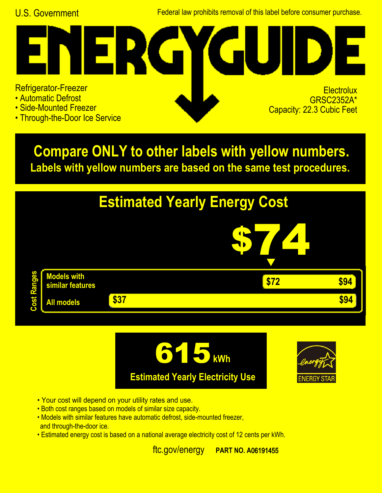U.S. Government Federal law prohibits removal of this label before consumer purchase.

## ER ( Refrigerator-Freezer **Electrolux** • Automatic Defrost

- Side-Mounted Freezer
- Through-the-Door Ice Service

GRSC2352A\* Capacity: 22.3 Cubic Feet

**Labels with yellow numbers are based on the same test procedures. Compare ONLY to other labels with yellow numbers.**







- Your cost will depend on your utility rates and use.
- Both cost ranges based on models of similar size capacity.
- and through-the-door ice. • Models with similar features have automatic defrost, side-mounted freezer,
- Estimated energy cost is based on a national average electricity cost of 12 cents per kWh.

ftc.gov/energy **PART NO. A06191455**